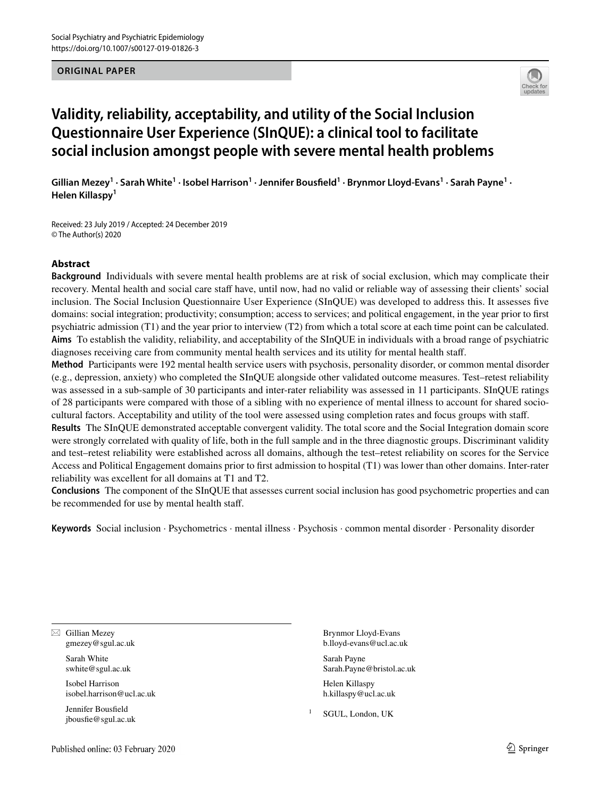#### **ORIGINAL PAPER**



# **Validity, reliability, acceptability, and utility of the Social Inclusion Questionnaire User Experience (SInQUE): a clinical tool to facilitate social inclusion amongst people with severe mental health problems**

Gillian Mezey<sup>1</sup> · Sarah White<sup>1</sup> · Isobel Harrison<sup>1</sup> · Jennifer Bousfield<sup>1</sup> · Brynmor Lloyd-Evans<sup>1</sup> · Sarah Payne<sup>1</sup> · **Helen Killaspy1**

Received: 23 July 2019 / Accepted: 24 December 2019 © The Author(s) 2020

## **Abstract**

**Background** Individuals with severe mental health problems are at risk of social exclusion, which may complicate their recovery. Mental health and social care staff have, until now, had no valid or reliable way of assessing their clients' social inclusion. The Social Inclusion Questionnaire User Experience (SInQUE) was developed to address this. It assesses fve domains: social integration; productivity; consumption; access to services; and political engagement, in the year prior to frst psychiatric admission (T1) and the year prior to interview (T2) from which a total score at each time point can be calculated. **Aims** To establish the validity, reliability, and acceptability of the SInQUE in individuals with a broad range of psychiatric diagnoses receiving care from community mental health services and its utility for mental health staf.

**Method** Participants were 192 mental health service users with psychosis, personality disorder, or common mental disorder (e.g., depression, anxiety) who completed the SInQUE alongside other validated outcome measures. Test–retest reliability was assessed in a sub-sample of 30 participants and inter-rater reliability was assessed in 11 participants. SInQUE ratings of 28 participants were compared with those of a sibling with no experience of mental illness to account for shared sociocultural factors. Acceptability and utility of the tool were assessed using completion rates and focus groups with staf.

**Results** The SInQUE demonstrated acceptable convergent validity. The total score and the Social Integration domain score were strongly correlated with quality of life, both in the full sample and in the three diagnostic groups. Discriminant validity and test–retest reliability were established across all domains, although the test–retest reliability on scores for the Service Access and Political Engagement domains prior to frst admission to hospital (T1) was lower than other domains. Inter-rater reliability was excellent for all domains at T1 and T2.

**Conclusions** The component of the SInQUE that assesses current social inclusion has good psychometric properties and can be recommended for use by mental health staf.

**Keywords** Social inclusion · Psychometrics · mental illness · Psychosis · common mental disorder · Personality disorder

 $\boxtimes$  Gillian Mezey gmezey@sgul.ac.uk

> Sarah White swhite@sgul.ac.uk

Isobel Harrison isobel.harrison@ucl.ac.uk

Jennifer Bousfeld jbousfe@sgul.ac.uk Brynmor Lloyd-Evans b.lloyd-evans@ucl.ac.uk

Sarah Payne Sarah.Payne@bristol.ac.uk

Helen Killaspy h.killaspy@ucl.ac.uk

SGUL, London, UK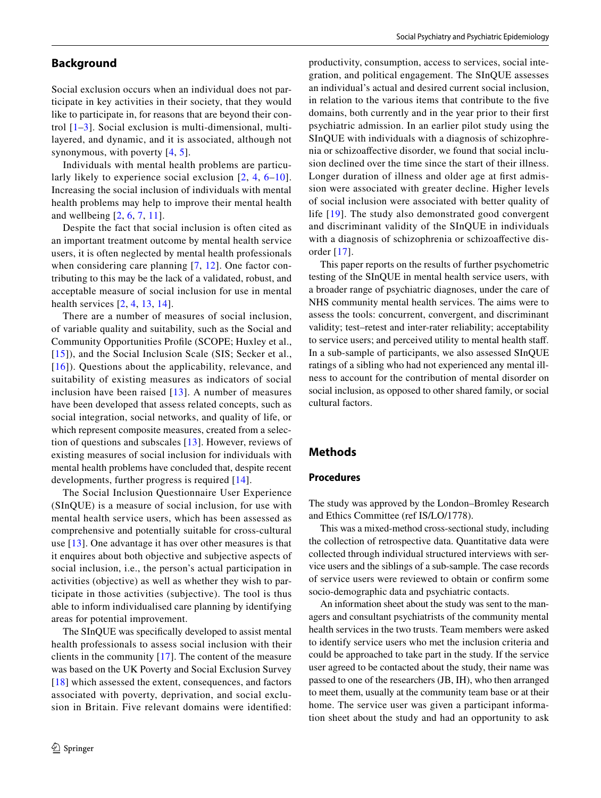## **Background**

Social exclusion occurs when an individual does not participate in key activities in their society, that they would like to participate in, for reasons that are beyond their control [\[1–](#page-10-0)[3](#page-10-1)]. Social exclusion is multi-dimensional, multilayered, and dynamic, and it is associated, although not synonymous, with poverty [\[4,](#page-10-2) [5](#page-10-3)].

Individuals with mental health problems are particularly likely to experience social exclusion [[2](#page-10-4), [4,](#page-10-2) [6](#page-10-5)[–10\]](#page-10-6). Increasing the social inclusion of individuals with mental health problems may help to improve their mental health and wellbeing [[2,](#page-10-4) [6](#page-10-5), [7,](#page-10-7) [11](#page-10-8)].

Despite the fact that social inclusion is often cited as an important treatment outcome by mental health service users, it is often neglected by mental health professionals when considering care planning [[7,](#page-10-7) [12\]](#page-10-9). One factor contributing to this may be the lack of a validated, robust, and acceptable measure of social inclusion for use in mental health services [\[2](#page-10-4), [4,](#page-10-2) [13,](#page-10-10) [14](#page-10-11)].

There are a number of measures of social inclusion, of variable quality and suitability, such as the Social and Community Opportunities Profle (SCOPE; Huxley et al., [[15](#page-10-12)]), and the Social Inclusion Scale (SIS; Secker et al., [[16](#page-10-13)]). Questions about the applicability, relevance, and suitability of existing measures as indicators of social inclusion have been raised  $[13]$  $[13]$  $[13]$ . A number of measures have been developed that assess related concepts, such as social integration, social networks, and quality of life, or which represent composite measures, created from a selection of questions and subscales [\[13\]](#page-10-10). However, reviews of existing measures of social inclusion for individuals with mental health problems have concluded that, despite recent developments, further progress is required [\[14\]](#page-10-11).

The Social Inclusion Questionnaire User Experience (SInQUE) is a measure of social inclusion, for use with mental health service users, which has been assessed as comprehensive and potentially suitable for cross-cultural use [[13](#page-10-10)]. One advantage it has over other measures is that it enquires about both objective and subjective aspects of social inclusion, i.e., the person's actual participation in activities (objective) as well as whether they wish to participate in those activities (subjective). The tool is thus able to inform individualised care planning by identifying areas for potential improvement.

The SInQUE was specifcally developed to assist mental health professionals to assess social inclusion with their clients in the community [[17\]](#page-10-14). The content of the measure was based on the UK Poverty and Social Exclusion Survey [[18\]](#page-11-0) which assessed the extent, consequences, and factors associated with poverty, deprivation, and social exclusion in Britain. Five relevant domains were identifed:

productivity, consumption, access to services, social integration, and political engagement. The SInQUE assesses an individual's actual and desired current social inclusion, in relation to the various items that contribute to the fve domains, both currently and in the year prior to their frst psychiatric admission. In an earlier pilot study using the SInQUE with individuals with a diagnosis of schizophrenia or schizoafective disorder, we found that social inclusion declined over the time since the start of their illness. Longer duration of illness and older age at frst admission were associated with greater decline. Higher levels of social inclusion were associated with better quality of life [[19\]](#page-11-1). The study also demonstrated good convergent and discriminant validity of the SInQUE in individuals with a diagnosis of schizophrenia or schizoafective disorder [\[17\]](#page-10-14).

This paper reports on the results of further psychometric testing of the SInQUE in mental health service users, with a broader range of psychiatric diagnoses, under the care of NHS community mental health services. The aims were to assess the tools: concurrent, convergent, and discriminant validity; test–retest and inter-rater reliability; acceptability to service users; and perceived utility to mental health staf. In a sub-sample of participants, we also assessed SInQUE ratings of a sibling who had not experienced any mental illness to account for the contribution of mental disorder on social inclusion, as opposed to other shared family, or social cultural factors.

## **Methods**

## **Procedures**

The study was approved by the London–Bromley Research and Ethics Committee (ref IS/LO/1778).

This was a mixed-method cross-sectional study, including the collection of retrospective data. Quantitative data were collected through individual structured interviews with service users and the siblings of a sub-sample. The case records of service users were reviewed to obtain or confrm some socio-demographic data and psychiatric contacts.

An information sheet about the study was sent to the managers and consultant psychiatrists of the community mental health services in the two trusts. Team members were asked to identify service users who met the inclusion criteria and could be approached to take part in the study. If the service user agreed to be contacted about the study, their name was passed to one of the researchers (JB, IH), who then arranged to meet them, usually at the community team base or at their home. The service user was given a participant information sheet about the study and had an opportunity to ask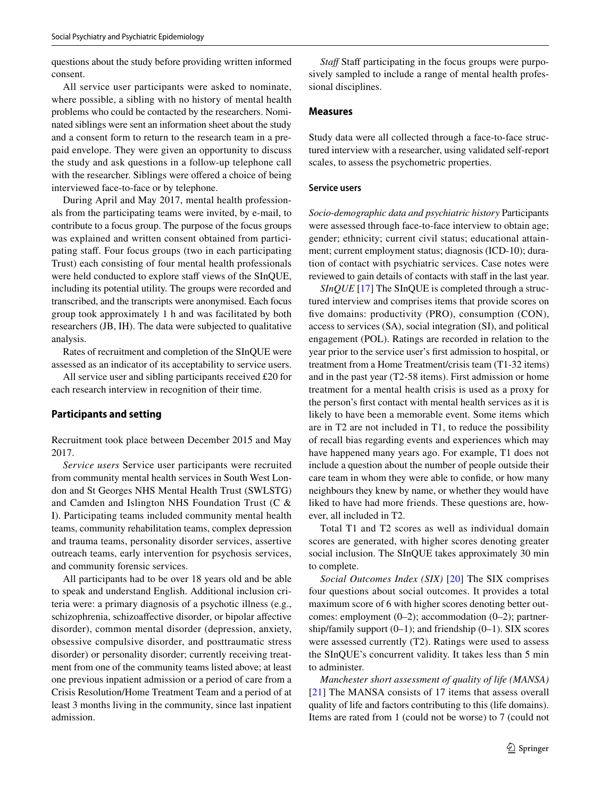questions about the study before providing written informed consent.

All service user participants were asked to nominate, where possible, a sibling with no history of mental health problems who could be contacted by the researchers. Nominated siblings were sent an information sheet about the study and a consent form to return to the research team in a prepaid envelope. They were given an opportunity to discuss the study and ask questions in a follow-up telephone call with the researcher. Siblings were offered a choice of being interviewed face-to-face or by telephone.

During April and May 2017, mental health professionals from the participating teams were invited, by e-mail, to contribute to a focus group. The purpose of the focus groups was explained and written consent obtained from participating staf. Four focus groups (two in each participating Trust) each consisting of four mental health professionals were held conducted to explore staff views of the SInQUE, including its potential utility. The groups were recorded and transcribed, and the transcripts were anonymised. Each focus group took approximately 1 h and was facilitated by both researchers (JB, IH). The data were subjected to qualitative analysis.

Rates of recruitment and completion of the SInQUE were assessed as an indicator of its acceptability to service users.

All service user and sibling participants received £20 for each research interview in recognition of their time.

#### **Participants and setting**

Recruitment took place between December 2015 and May 2017.

*Service users* Service user participants were recruited from community mental health services in South West London and St Georges NHS Mental Health Trust (SWLSTG) and Camden and Islington NHS Foundation Trust (C & I). Participating teams included community mental health teams, community rehabilitation teams, complex depression and trauma teams, personality disorder services, assertive outreach teams, early intervention for psychosis services, and community forensic services.

All participants had to be over 18 years old and be able to speak and understand English. Additional inclusion criteria were: a primary diagnosis of a psychotic illness (e.g., schizophrenia, schizoaffective disorder, or bipolar affective disorder), common mental disorder (depression, anxiety, obsessive compulsive disorder, and posttraumatic stress disorder) or personality disorder; currently receiving treatment from one of the community teams listed above; at least one previous inpatient admission or a period of care from a Crisis Resolution/Home Treatment Team and a period of at least 3 months living in the community, since last inpatient admission.

*Staff* Staff participating in the focus groups were purposively sampled to include a range of mental health professional disciplines.

#### **Measures**

Study data were all collected through a face-to-face structured interview with a researcher, using validated self-report scales, to assess the psychometric properties.

#### **Service users**

*Socio-demographic data and psychiatric history* Participants were assessed through face-to-face interview to obtain age; gender; ethnicity; current civil status; educational attainment; current employment status; diagnosis (ICD-10); duration of contact with psychiatric services. Case notes were reviewed to gain details of contacts with staff in the last year.

*SInQUE* [\[17](#page-10-14)] The SInQUE is completed through a structured interview and comprises items that provide scores on five domains: productivity (PRO), consumption (CON), access to services (SA), social integration (SI), and political engagement (POL). Ratings are recorded in relation to the year prior to the service user's frst admission to hospital, or treatment from a Home Treatment/crisis team (T1-32 items) and in the past year (T2-58 items). First admission or home treatment for a mental health crisis is used as a proxy for the person's frst contact with mental health services as it is likely to have been a memorable event. Some items which are in T2 are not included in T1, to reduce the possibility of recall bias regarding events and experiences which may have happened many years ago. For example, T1 does not include a question about the number of people outside their care team in whom they were able to confde, or how many neighbours they knew by name, or whether they would have liked to have had more friends. These questions are, however, all included in T2.

Total T1 and T2 scores as well as individual domain scores are generated, with higher scores denoting greater social inclusion. The SInQUE takes approximately 30 min to complete.

*Social Outcomes Index (SIX)* [[20](#page-11-2)] The SIX comprises four questions about social outcomes. It provides a total maximum score of 6 with higher scores denoting better outcomes: employment (0–2); accommodation (0–2); partnership/family support  $(0-1)$ ; and friendship  $(0-1)$ . SIX scores were assessed currently (T2). Ratings were used to assess the SInQUE's concurrent validity. It takes less than 5 min to administer.

*Manchester short assessment of quality of life (MANSA)* [[21\]](#page-11-3) The MANSA consists of 17 items that assess overall quality of life and factors contributing to this (life domains). Items are rated from 1 (could not be worse) to 7 (could not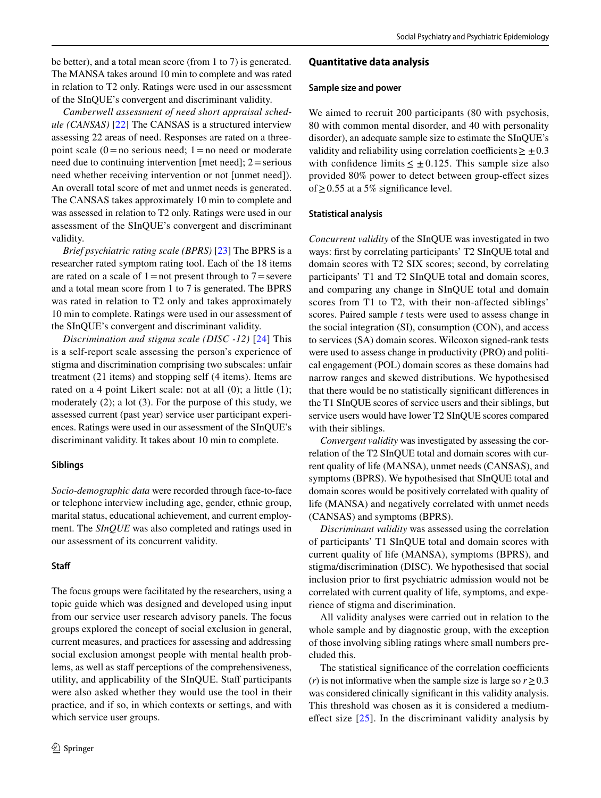be better), and a total mean score (from 1 to 7) is generated. The MANSA takes around 10 min to complete and was rated in relation to T2 only. Ratings were used in our assessment of the SInQUE's convergent and discriminant validity.

*Camberwell assessment of need short appraisal schedule (CANSAS)* [[22\]](#page-11-4) The CANSAS is a structured interview assessing 22 areas of need. Responses are rated on a threepoint scale  $(0=$ no serious need; 1 = no need or moderate need due to continuing intervention [met need];  $2 =$  serious need whether receiving intervention or not [unmet need]). An overall total score of met and unmet needs is generated. The CANSAS takes approximately 10 min to complete and was assessed in relation to T2 only. Ratings were used in our assessment of the SInQUE's convergent and discriminant validity.

*Brief psychiatric rating scale (BPRS)* [[23\]](#page-11-5) The BPRS is a researcher rated symptom rating tool. Each of the 18 items are rated on a scale of  $1=$  not present through to  $7=$  severe and a total mean score from 1 to 7 is generated. The BPRS was rated in relation to T2 only and takes approximately 10 min to complete. Ratings were used in our assessment of the SInQUE's convergent and discriminant validity.

*Discrimination and stigma scale (DISC -12)* [[24](#page-11-6)] This is a self-report scale assessing the person's experience of stigma and discrimination comprising two subscales: unfair treatment (21 items) and stopping self (4 items). Items are rated on a 4 point Likert scale: not at all (0); a little (1); moderately (2); a lot (3). For the purpose of this study, we assessed current (past year) service user participant experiences. Ratings were used in our assessment of the SInQUE's discriminant validity. It takes about 10 min to complete.

#### **Siblings**

*Socio-demographic data* were recorded through face-to-face or telephone interview including age, gender, ethnic group, marital status, educational achievement, and current employment. The *SInQUE* was also completed and ratings used in our assessment of its concurrent validity.

#### **Staf**

The focus groups were facilitated by the researchers, using a topic guide which was designed and developed using input from our service user research advisory panels. The focus groups explored the concept of social exclusion in general, current measures, and practices for assessing and addressing social exclusion amongst people with mental health problems, as well as staff perceptions of the comprehensiveness, utility, and applicability of the SInQUE. Staff participants were also asked whether they would use the tool in their practice, and if so, in which contexts or settings, and with which service user groups.

#### **Quantitative data analysis**

#### **Sample size and power**

We aimed to recruit 200 participants (80 with psychosis, 80 with common mental disorder, and 40 with personality disorder), an adequate sample size to estimate the SInQUE's validity and reliability using correlation coefficients  $\geq \pm 0.3$ with confidence limits  $\leq \pm 0.125$ . This sample size also provided 80% power to detect between group-efect sizes of≥0.55 at a 5% signifcance level.

#### **Statistical analysis**

*Concurrent validity* of the SInQUE was investigated in two ways: frst by correlating participants' T2 SInQUE total and domain scores with T2 SIX scores; second, by correlating participants' T1 and T2 SInQUE total and domain scores, and comparing any change in SInQUE total and domain scores from T1 to T2, with their non-affected siblings' scores. Paired sample *t* tests were used to assess change in the social integration (SI), consumption (CON), and access to services (SA) domain scores. Wilcoxon signed-rank tests were used to assess change in productivity (PRO) and political engagement (POL) domain scores as these domains had narrow ranges and skewed distributions. We hypothesised that there would be no statistically signifcant diferences in the T1 SInQUE scores of service users and their siblings, but service users would have lower T2 SInQUE scores compared with their siblings.

*Convergent validity* was investigated by assessing the correlation of the T2 SInQUE total and domain scores with current quality of life (MANSA), unmet needs (CANSAS), and symptoms (BPRS). We hypothesised that SInQUE total and domain scores would be positively correlated with quality of life (MANSA) and negatively correlated with unmet needs (CANSAS) and symptoms (BPRS).

*Discriminant validity* was assessed using the correlation of participants' T1 SInQUE total and domain scores with current quality of life (MANSA), symptoms (BPRS), and stigma/discrimination (DISC). We hypothesised that social inclusion prior to frst psychiatric admission would not be correlated with current quality of life, symptoms, and experience of stigma and discrimination.

All validity analyses were carried out in relation to the whole sample and by diagnostic group, with the exception of those involving sibling ratings where small numbers precluded this.

The statistical significance of the correlation coefficients (*r*) is not informative when the sample size is large so  $r \ge 0.3$ was considered clinically signifcant in this validity analysis. This threshold was chosen as it is considered a mediumeffect size  $[25]$ . In the discriminant validity analysis by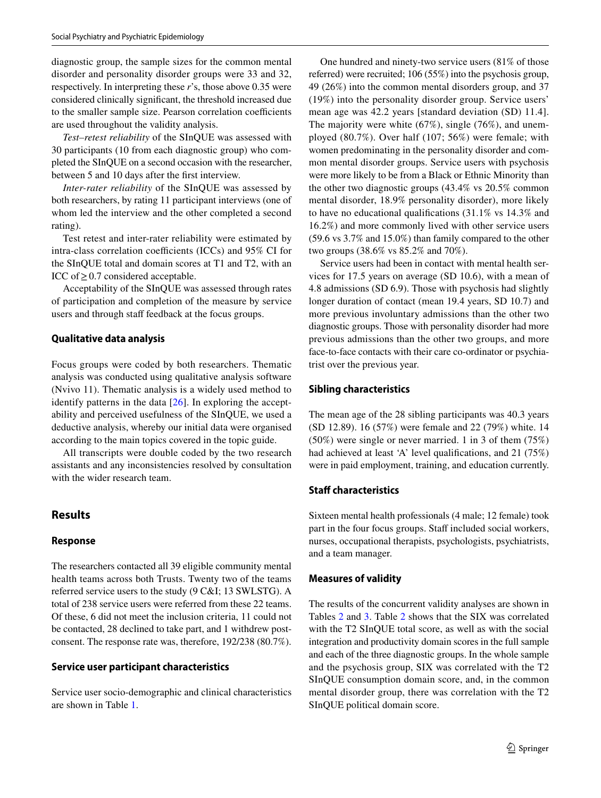diagnostic group, the sample sizes for the common mental disorder and personality disorder groups were 33 and 32, respectively. In interpreting these *r*'s, those above 0.35 were considered clinically signifcant, the threshold increased due to the smaller sample size. Pearson correlation coefficients are used throughout the validity analysis.

*Test–retest reliability* of the SInQUE was assessed with 30 participants (10 from each diagnostic group) who completed the SInQUE on a second occasion with the researcher, between 5 and 10 days after the frst interview.

*Inter-rater reliability* of the SInQUE was assessed by both researchers, by rating 11 participant interviews (one of whom led the interview and the other completed a second rating).

Test retest and inter-rater reliability were estimated by intra-class correlation coefficients (ICCs) and  $95\%$  CI for the SInQUE total and domain scores at T1 and T2, with an ICC of  $\geq$  0.7 considered acceptable.

Acceptability of the SInQUE was assessed through rates of participation and completion of the measure by service users and through staff feedback at the focus groups.

#### **Qualitative data analysis**

Focus groups were coded by both researchers. Thematic analysis was conducted using qualitative analysis software (Nvivo 11). Thematic analysis is a widely used method to identify patterns in the data  $[26]$ . In exploring the acceptability and perceived usefulness of the SInQUE, we used a deductive analysis, whereby our initial data were organised according to the main topics covered in the topic guide.

All transcripts were double coded by the two research assistants and any inconsistencies resolved by consultation with the wider research team.

## **Results**

#### **Response**

The researchers contacted all 39 eligible community mental health teams across both Trusts. Twenty two of the teams referred service users to the study (9 C&I; 13 SWLSTG). A total of 238 service users were referred from these 22 teams. Of these, 6 did not meet the inclusion criteria, 11 could not be contacted, 28 declined to take part, and 1 withdrew postconsent. The response rate was, therefore, 192/238 (80.7%).

#### **Service user participant characteristics**

Service user socio-demographic and clinical characteristics are shown in Table [1.](#page-5-0)

One hundred and ninety-two service users (81% of those referred) were recruited; 106 (55%) into the psychosis group, 49 (26%) into the common mental disorders group, and 37 (19%) into the personality disorder group. Service users' mean age was 42.2 years [standard deviation (SD) 11.4]. The majority were white (67%), single (76%), and unemployed (80.7%). Over half (107; 56%) were female; with women predominating in the personality disorder and common mental disorder groups. Service users with psychosis were more likely to be from a Black or Ethnic Minority than the other two diagnostic groups (43.4% vs 20.5% common mental disorder, 18.9% personality disorder), more likely to have no educational qualifcations (31.1% vs 14.3% and 16.2%) and more commonly lived with other service users (59.6 vs 3.7% and 15.0%) than family compared to the other two groups (38.6% vs 85.2% and 70%).

Service users had been in contact with mental health services for 17.5 years on average (SD 10.6), with a mean of 4.8 admissions (SD 6.9). Those with psychosis had slightly longer duration of contact (mean 19.4 years, SD 10.7) and more previous involuntary admissions than the other two diagnostic groups. Those with personality disorder had more previous admissions than the other two groups, and more face-to-face contacts with their care co-ordinator or psychiatrist over the previous year.

#### **Sibling characteristics**

The mean age of the 28 sibling participants was 40.3 years (SD 12.89). 16 (57%) were female and 22 (79%) white. 14 (50%) were single or never married. 1 in 3 of them (75%) had achieved at least 'A' level qualifications, and 21 (75%) were in paid employment, training, and education currently.

## **Staff characteristics**

Sixteen mental health professionals (4 male; 12 female) took part in the four focus groups. Staff included social workers, nurses, occupational therapists, psychologists, psychiatrists, and a team manager.

#### **Measures of validity**

The results of the concurrent validity analyses are shown in Tables [2](#page-6-0) and [3](#page-7-0). Table [2](#page-6-0) shows that the SIX was correlated with the T2 SInQUE total score, as well as with the social integration and productivity domain scores in the full sample and each of the three diagnostic groups. In the whole sample and the psychosis group, SIX was correlated with the T2 SInQUE consumption domain score, and, in the common mental disorder group, there was correlation with the T2 SInQUE political domain score.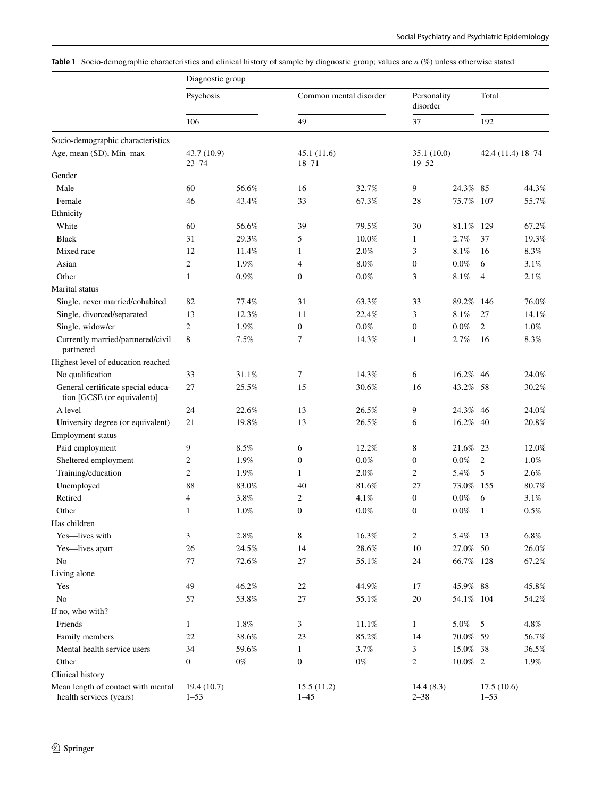<span id="page-5-0"></span>

|  | Table 1 Socio-demographic characteristics and clinical history of sample by diagnostic group; values are $n$ (%) unless otherwise stated |  |  |  |  |  |
|--|------------------------------------------------------------------------------------------------------------------------------------------|--|--|--|--|--|
|--|------------------------------------------------------------------------------------------------------------------------------------------|--|--|--|--|--|

|                                                                   | Diagnostic group         |         |                         |                        |                         |            |                        |                   |
|-------------------------------------------------------------------|--------------------------|---------|-------------------------|------------------------|-------------------------|------------|------------------------|-------------------|
|                                                                   | Psychosis                |         |                         | Common mental disorder | Personality<br>disorder |            | Total                  |                   |
|                                                                   | 106                      |         | 49                      |                        | 37                      |            | 192                    |                   |
| Socio-demographic characteristics                                 |                          |         |                         |                        |                         |            |                        |                   |
| Age, mean (SD), Min-max                                           | 43.7 (10.9)<br>$23 - 74$ |         | 45.1(11.6)<br>$18 - 71$ |                        | 35.1(10.0)<br>$19 - 52$ |            |                        | 42.4 (11.4) 18-74 |
| Gender                                                            |                          |         |                         |                        |                         |            |                        |                   |
| Male                                                              | 60                       | 56.6%   | 16                      | 32.7%                  | 9                       | 24.3%      | 85                     | 44.3%             |
| Female                                                            | 46                       | 43.4%   | 33                      | 67.3%                  | 28                      | 75.7%      | 107                    | 55.7%             |
| Ethnicity                                                         |                          |         |                         |                        |                         |            |                        |                   |
| White                                                             | 60                       | 56.6%   | 39                      | 79.5%                  | 30                      | 81.1%      | 129                    | 67.2%             |
| <b>Black</b>                                                      | 31                       | 29.3%   | 5                       | 10.0%                  | 1                       | 2.7%       | 37                     | 19.3%             |
| Mixed race                                                        | 12                       | 11.4%   | $\mathbf{1}$            | 2.0%                   | 3                       | 8.1%       | 16                     | 8.3%              |
| Asian                                                             | $\overline{c}$           | 1.9%    | $\overline{4}$          | $8.0\%$                | $\boldsymbol{0}$        | $0.0\%$    | 6                      | 3.1%              |
| Other                                                             | $\mathbf{1}$             | 0.9%    | $\boldsymbol{0}$        | $0.0\%$                | 3                       | $8.1\%$    | $\overline{4}$         | 2.1%              |
| Marital status                                                    |                          |         |                         |                        |                         |            |                        |                   |
| Single, never married/cohabited                                   | 82                       | 77.4%   | 31                      | 63.3%                  | 33                      | 89.2%      | 146                    | 76.0%             |
| Single, divorced/separated                                        | 13                       | 12.3%   | 11                      | 22.4%                  | 3                       | 8.1%       | 27                     | 14.1%             |
| Single, widow/er                                                  | $\overline{c}$           | 1.9%    | $\mathbf{0}$            | $0.0\%$                | $\boldsymbol{0}$        | $0.0\%$    | 2                      | 1.0%              |
| Currently married/partnered/civil<br>partnered                    | 8                        | 7.5%    | 7                       | 14.3%                  | $\mathbf{1}$            | 2.7%       | 16                     | $8.3\%$           |
| Highest level of education reached                                |                          |         |                         |                        |                         |            |                        |                   |
| No qualification                                                  | 33                       | 31.1%   | 7                       | 14.3%                  | 6                       | 16.2%      | 46                     | 24.0%             |
| General certificate special educa-<br>tion [GCSE (or equivalent)] | 27                       | 25.5%   | 15                      | 30.6%                  | 16                      | 43.2%      | 58                     | 30.2%             |
| A level                                                           | 24                       | 22.6%   | 13                      | 26.5%                  | 9                       | 24.3%      | 46                     | 24.0%             |
| University degree (or equivalent)                                 | 21                       | 19.8%   | 13                      | 26.5%                  | 6                       | 16.2%      | 40                     | 20.8%             |
| <b>Employment</b> status                                          |                          |         |                         |                        |                         |            |                        |                   |
| Paid employment                                                   | 9                        | 8.5%    | 6                       | 12.2%                  | 8                       | 21.6%      | 23                     | 12.0%             |
| Sheltered employment                                              | 2                        | 1.9%    | $\boldsymbol{0}$        | $0.0\%$                | $\boldsymbol{0}$        | $0.0\%$    | $\overline{2}$         | 1.0%              |
| Training/education                                                | 2                        | 1.9%    | $\mathbf{1}$            | 2.0%                   | 2                       | 5.4%       | 5                      | 2.6%              |
| Unemployed                                                        | 88                       | 83.0%   | 40                      | 81.6%                  | 27                      | 73.0% 155  |                        | 80.7%             |
| Retired                                                           | 4                        | 3.8%    | 2                       | 4.1%                   | $\boldsymbol{0}$        | $0.0\%$    | 6                      | 3.1%              |
| Other                                                             | 1                        | 1.0%    | $\boldsymbol{0}$        | $0.0\%$                | $\boldsymbol{0}$        | $0.0\%$    | $\mathbf{1}$           | $0.5\%$           |
| Has children                                                      |                          |         |                         |                        |                         |            |                        |                   |
| Yes-lives with                                                    | 3                        | $2.8\%$ | $\,8\,$                 | $16.3\%$               | $\mathbf{2}$            | $5.4\%$    | 13                     | $6.8\%$           |
| Yes-lives apart                                                   | 26                       | 24.5%   | 14                      | $28.6\%$               | 10                      | 27.0% 50   |                        | 26.0%             |
| N <sub>o</sub>                                                    | 77                       | 72.6%   | 27                      | 55.1%                  | 24                      | 66.7% 128  |                        | 67.2%             |
| Living alone                                                      |                          |         |                         |                        |                         |            |                        |                   |
| Yes                                                               | 49                       | 46.2%   | $22\,$                  | 44.9%                  | 17                      | 45.9% 88   |                        | 45.8%             |
| N <sub>o</sub>                                                    | 57                       | 53.8%   | 27                      | 55.1%                  | $20\,$                  | 54.1% 104  |                        | 54.2%             |
| If no, who with?                                                  |                          |         |                         |                        |                         |            |                        |                   |
| Friends                                                           | 1                        | $1.8\%$ | 3                       | $11.1\%$               | $\mathbf{1}$            | 5.0%       | 5                      | 4.8%              |
| Family members                                                    | $22\,$                   | 38.6%   | 23                      | 85.2%                  | 14                      | 70.0% 59   |                        | 56.7%             |
| Mental health service users                                       | 34                       | 59.6%   | $\mathbf{1}$            | 3.7%                   | 3                       | 15.0% 38   |                        | 36.5%             |
| Other                                                             | $\boldsymbol{0}$         | $0\%$   | $\boldsymbol{0}$        | $0\%$                  | 2                       | $10.0\%$ 2 |                        | 1.9%              |
| Clinical history                                                  |                          |         |                         |                        |                         |            |                        |                   |
| Mean length of contact with mental<br>health services (years)     | 19.4 (10.7)<br>$1 - 53$  |         | 15.5(11.2)<br>$1 - 45$  |                        | 14.4(8.3)<br>$2 - 38$   |            | 17.5(10.6)<br>$1 - 53$ |                   |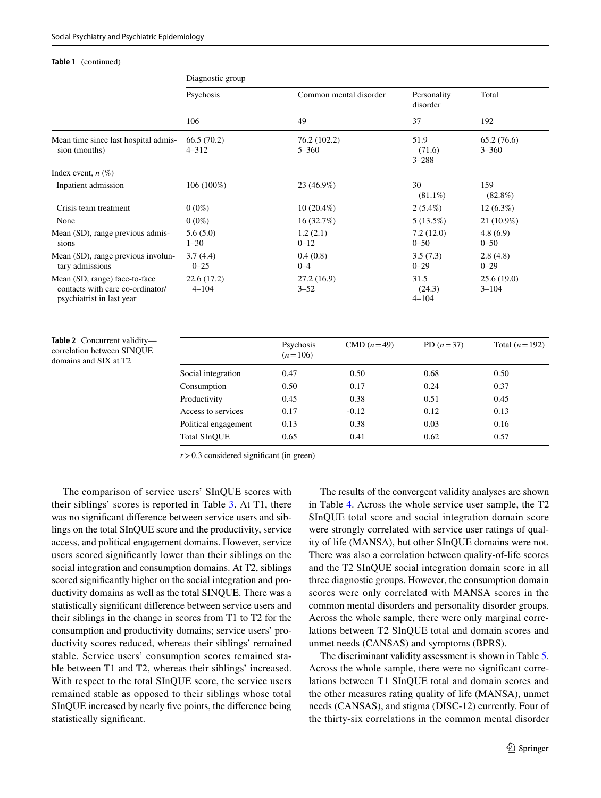#### **Table 1** (continued)

|                                                                                                | Diagnostic group        |                           |                             |                         |  |
|------------------------------------------------------------------------------------------------|-------------------------|---------------------------|-----------------------------|-------------------------|--|
|                                                                                                | Psychosis               | Common mental disorder    | Personality<br>disorder     | Total                   |  |
|                                                                                                | 106                     | 49                        | 37                          | 192                     |  |
| Mean time since last hospital admis-<br>sion (months)                                          | 66.5(70.2)<br>$4 - 312$ | 76.2 (102.2)<br>$5 - 360$ | 51.9<br>(71.6)<br>$3 - 288$ | 65.2(76.6)<br>$3 - 360$ |  |
| Index event, $n(\%)$                                                                           |                         |                           |                             |                         |  |
| Inpatient admission                                                                            | 106 (100%)              | 23 (46.9%)                | 30<br>$(81.1\%)$            | 159<br>$(82.8\%)$       |  |
| Crisis team treatment                                                                          | $0(0\%)$                | $10(20.4\%)$              | $2(5.4\%)$                  | $12(6.3\%)$             |  |
| None                                                                                           | $0(0\%)$                | 16(32.7%)                 | $5(13.5\%)$                 | 21 (10.9%)              |  |
| Mean (SD), range previous admis-<br>sions                                                      | 5.6(5.0)<br>$1 - 30$    | 1.2(2.1)<br>$0 - 12$      | 7.2(12.0)<br>$0 - 50$       | 4.8(6.9)<br>$0 - 50$    |  |
| Mean (SD), range previous involun-<br>tary admissions                                          | 3.7(4.4)<br>$0 - 25$    | 0.4(0.8)<br>$0 - 4$       | 3.5(7.3)<br>$0 - 29$        | 2.8(4.8)<br>$0 - 29$    |  |
| Mean (SD, range) face-to-face<br>contacts with care co-ordinator/<br>psychiatrist in last year | 22.6(17.2)<br>$4 - 104$ | 27.2(16.9)<br>$3 - 52$    | 31.5<br>(24.3)<br>$4 - 104$ | 25.6(19.0)<br>$3 - 104$ |  |

<span id="page-6-0"></span>**Table 2** Concurrent validity correlation between SINQUE domains and SIX at T2

|                      | Psychosis<br>$(n=106)$ | $CMD (n=49)$ | PD $(n=37)$ | Total $(n=192)$ |
|----------------------|------------------------|--------------|-------------|-----------------|
| Social integration   | 0.47                   | 0.50         | 0.68        | 0.50            |
| Consumption          | 0.50                   | 0.17         | 0.24        | 0.37            |
| Productivity         | 0.45                   | 0.38         | 0.51        | 0.45            |
| Access to services   | 0.17                   | $-0.12$      | 0.12        | 0.13            |
| Political engagement | 0.13                   | 0.38         | 0.03        | 0.16            |
| Total SInOUE         | 0.65                   | 0.41         | 0.62        | 0.57            |

 $r > 0.3$  considered significant (in green)

The comparison of service users' SInQUE scores with their siblings' scores is reported in Table [3](#page-7-0). At T1, there was no signifcant diference between service users and siblings on the total SInQUE score and the productivity, service access, and political engagement domains. However, service users scored signifcantly lower than their siblings on the social integration and consumption domains. At T2, siblings scored signifcantly higher on the social integration and productivity domains as well as the total SINQUE. There was a statistically signifcant diference between service users and their siblings in the change in scores from T1 to T2 for the consumption and productivity domains; service users' productivity scores reduced, whereas their siblings' remained stable. Service users' consumption scores remained stable between T1 and T2, whereas their siblings' increased. With respect to the total SInQUE score, the service users remained stable as opposed to their siblings whose total SInQUE increased by nearly fve points, the diference being statistically signifcant.

The results of the convergent validity analyses are shown in Table [4.](#page-8-0) Across the whole service user sample, the T2 SInQUE total score and social integration domain score were strongly correlated with service user ratings of quality of life (MANSA), but other SInQUE domains were not. There was also a correlation between quality-of-life scores and the T2 SInQUE social integration domain score in all three diagnostic groups. However, the consumption domain scores were only correlated with MANSA scores in the common mental disorders and personality disorder groups. Across the whole sample, there were only marginal correlations between T2 SInQUE total and domain scores and unmet needs (CANSAS) and symptoms (BPRS).

The discriminant validity assessment is shown in Table [5.](#page-9-0) Across the whole sample, there were no signifcant correlations between T1 SInQUE total and domain scores and the other measures rating quality of life (MANSA), unmet needs (CANSAS), and stigma (DISC-12) currently. Four of the thirty-six correlations in the common mental disorder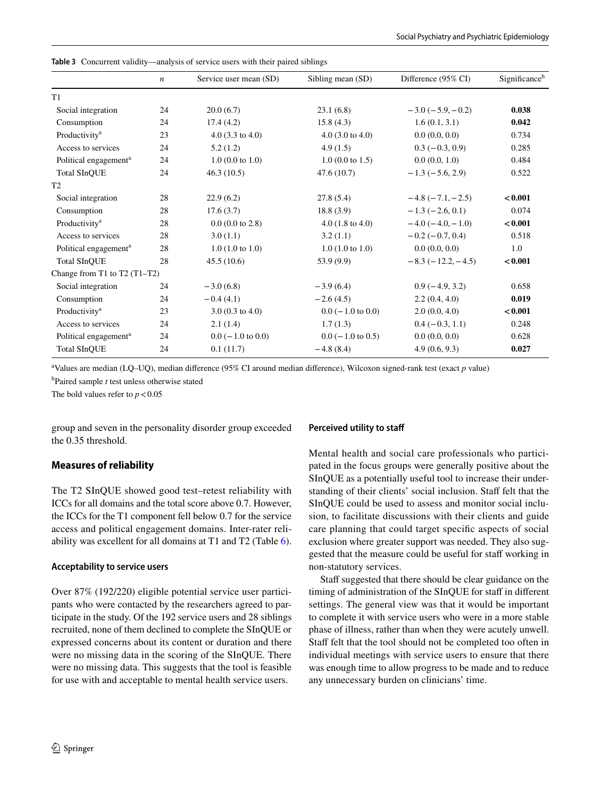|                                   | $\boldsymbol{n}$ | Service user mean (SD)      | Sibling mean (SD)           | Difference (95% CI) | Significance <sup>b</sup> |
|-----------------------------------|------------------|-----------------------------|-----------------------------|---------------------|---------------------------|
| T1                                |                  |                             |                             |                     |                           |
| Social integration                | 24               | 20.0(6.7)                   | 23.1(6.8)                   | $-3.0(-5.9,-0.2)$   | 0.038                     |
| Consumption                       | 24               | 17.4(4.2)                   | 15.8(4.3)                   | 1.6(0.1, 3.1)       | 0.042                     |
| Productivity <sup>a</sup>         | 23               | 4.0 $(3.3 \text{ to } 4.0)$ | $4.0$ (3.0 to 4.0)          | 0.0(0.0, 0.0)       | 0.734                     |
| Access to services                | 24               | 5.2(1.2)                    | 4.9(1.5)                    | $0.3(-0.3, 0.9)$    | 0.285                     |
| Political engagement <sup>a</sup> | 24               | $1.0(0.0 \text{ to } 1.0)$  | 1.0 (0.0 to 1.5)            | 0.0(0.0, 1.0)       | 0.484                     |
| <b>Total SInQUE</b>               | 24               | 46.3(10.5)                  | 47.6(10.7)                  | $-1.3(-5.6, 2.9)$   | 0.522                     |
| T <sub>2</sub>                    |                  |                             |                             |                     |                           |
| Social integration                | 28               | 22.9(6.2)                   | 27.8(5.4)                   | $-4.8(-7.1,-2.5)$   | < 0.001                   |
| Consumption                       | 28               | 17.6(3.7)                   | 18.8(3.9)                   | $-1.3 (-2.6, 0.1)$  | 0.074                     |
| Productivity <sup>a</sup>         | 28               | $0.0$ (0.0 to 2.8)          | 4.0 $(1.8 \text{ to } 4.0)$ | $-4.0(-4.0, -1.0)$  | < 0.001                   |
| Access to services                | 28               | 3.0(1.1)                    | 3.2(1.1)                    | $-0.2(-0.7, 0.4)$   | 0.518                     |
| Political engagement <sup>a</sup> | 28               | $1.0(1.0 \text{ to } 1.0)$  | $1.0(1.0 \text{ to } 1.0)$  | 0.0(0.0, 0.0)       | 1.0                       |
| <b>Total SInQUE</b>               | 28               | 45.5(10.6)                  | 53.9(9.9)                   | $-8.3(-12.2,-4.5)$  | < 0.001                   |
| Change from T1 to T2 $(T1-T2)$    |                  |                             |                             |                     |                           |
| Social integration                | 24               | $-3.0(6.8)$                 | $-3.9(6.4)$                 | $0.9(-4.9, 3.2)$    | 0.658                     |
| Consumption                       | 24               | $-0.4(4.1)$                 | $-2.6(4.5)$                 | 2.2(0.4, 4.0)       | 0.019                     |
| Productivity <sup>a</sup>         | 23               | $3.0(0.3 \text{ to } 4.0)$  | $0.0$ ( $-1.0$ to $0.0$ )   | 2.0(0.0, 4.0)       | < 0.001                   |
| Access to services                | 24               | 2.1(1.4)                    | 1.7(1.3)                    | $0.4 (-0.3, 1.1)$   | 0.248                     |
| Political engagement <sup>a</sup> | 24               | $0.0$ ( $-1.0$ to $0.0$ )   | $0.0$ ( $-1.0$ to 0.5)      | 0.0(0.0, 0.0)       | 0.628                     |
| <b>Total SInQUE</b>               | 24               | 0.1(11.7)                   | $-4.8(8.4)$                 | 4.9(0.6, 9.3)       | 0.027                     |

<span id="page-7-0"></span>**Table 3** Concurrent validity—analysis of service users with their paired siblings

a Values are median (LQ–UQ), median diference (95% CI around median diference), Wilcoxon signed-rank test (exact *p* value)

b Paired sample *t* test unless otherwise stated

The bold values refer to  $p < 0.05$ 

group and seven in the personality disorder group exceeded the 0.35 threshold.

## **Measures of reliability**

The T2 SInQUE showed good test–retest reliability with ICCs for all domains and the total score above 0.7. However, the ICCs for the T1 component fell below 0.7 for the service access and political engagement domains. Inter-rater reliability was excellent for all domains at T1 and T2 (Table [6](#page-9-1)).

#### **Acceptability to service users**

Over 87% (192/220) eligible potential service user participants who were contacted by the researchers agreed to participate in the study. Of the 192 service users and 28 siblings recruited, none of them declined to complete the SInQUE or expressed concerns about its content or duration and there were no missing data in the scoring of the SInQUE. There were no missing data. This suggests that the tool is feasible for use with and acceptable to mental health service users.

#### **Perceived utility to staf**

Mental health and social care professionals who participated in the focus groups were generally positive about the SInQUE as a potentially useful tool to increase their understanding of their clients' social inclusion. Staff felt that the SInQUE could be used to assess and monitor social inclusion, to facilitate discussions with their clients and guide care planning that could target specifc aspects of social exclusion where greater support was needed. They also suggested that the measure could be useful for staff working in non-statutory services.

Staff suggested that there should be clear guidance on the timing of administration of the SInQUE for staff in different settings. The general view was that it would be important to complete it with service users who were in a more stable phase of illness, rather than when they were acutely unwell. Staff felt that the tool should not be completed too often in individual meetings with service users to ensure that there was enough time to allow progress to be made and to reduce any unnecessary burden on clinicians' time.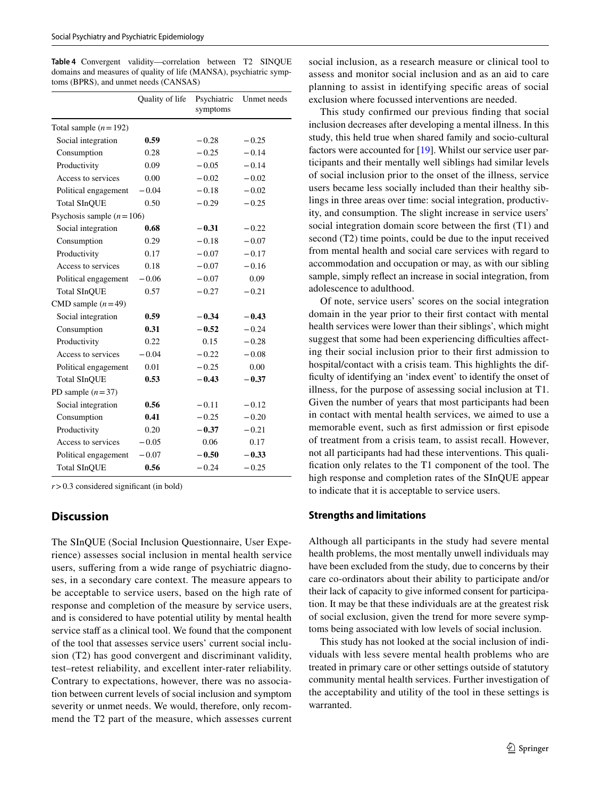<span id="page-8-0"></span>**Table 4** Convergent validity—correlation between T2 SINQUE domains and measures of quality of life (MANSA), psychiatric symptoms (BPRS), and unmet needs (CANSAS)

|                            | Quality of life | Psychiatric<br>symptoms | Unmet needs |
|----------------------------|-----------------|-------------------------|-------------|
| Total sample $(n=192)$     |                 |                         |             |
| Social integration         | 0.59            | $-0.28$                 | $-0.25$     |
| Consumption                | 0.28            | $-0.25$                 | $-0.14$     |
| Productivity               | 0.09            | $-0.05$                 | $-0.14$     |
| Access to services         | 0.00            | $-0.02$                 | $-0.02$     |
| Political engagement       | $-0.04$         | $-0.18$                 | $-0.02$     |
| <b>Total SInQUE</b>        | 0.50            | $-0.29$                 | $-0.25$     |
| Psychosis sample $(n=106)$ |                 |                         |             |
| Social integration         | 0.68            | $-0.31$                 | $-0.22$     |
| Consumption                | 0.29            | $-0.18$                 | $-0.07$     |
| Productivity               | 0.17            | $-0.07$                 | $-0.17$     |
| Access to services         | 0.18            | $-0.07$                 | $-0.16$     |
| Political engagement       | $-0.06$         | $-0.07$                 | 0.09        |
| <b>Total SInOUE</b>        | 0.57            | $-0.27$                 | $-0.21$     |
| CMD sample $(n=49)$        |                 |                         |             |
| Social integration         | 0.59            | $-0.34$                 | $-0.43$     |
| Consumption                | 0.31            | $-0.52$                 | $-0.24$     |
| Productivity               | 0.22            | 0.15                    | $-0.28$     |
| Access to services         | $-0.04$         | $-0.22$                 | $-0.08$     |
| Political engagement       | 0.01            | $-0.25$                 | 0.00        |
| <b>Total SInQUE</b>        | 0.53            | $-0.43$                 | $-0.37$     |
| PD sample $(n=37)$         |                 |                         |             |
| Social integration         | 0.56            | $-0.11$                 | $-0.12$     |
| Consumption                | 0.41            | $-0.25$                 | $-0.20$     |
| Productivity               | 0.20            | $-0.37$                 | $-0.21$     |
| Access to services         | $-0.05$         | 0.06                    | 0.17        |
| Political engagement       | $-0.07$         | $-0.50$                 | $-0.33$     |
| <b>Total SInQUE</b>        | 0.56            | $-0.24$                 | $-0.25$     |

 $r > 0.3$  considered significant (in bold)

## **Discussion**

The SInQUE (Social Inclusion Questionnaire, User Experience) assesses social inclusion in mental health service users, suffering from a wide range of psychiatric diagnoses, in a secondary care context. The measure appears to be acceptable to service users, based on the high rate of response and completion of the measure by service users, and is considered to have potential utility by mental health service staff as a clinical tool. We found that the component of the tool that assesses service users' current social inclusion (T2) has good convergent and discriminant validity, test–retest reliability, and excellent inter-rater reliability. Contrary to expectations, however, there was no association between current levels of social inclusion and symptom severity or unmet needs. We would, therefore, only recommend the T2 part of the measure, which assesses current social inclusion, as a research measure or clinical tool to assess and monitor social inclusion and as an aid to care planning to assist in identifying specifc areas of social exclusion where focussed interventions are needed.

This study confrmed our previous fnding that social inclusion decreases after developing a mental illness. In this study, this held true when shared family and socio-cultural factors were accounted for [\[19](#page-11-1)]. Whilst our service user participants and their mentally well siblings had similar levels of social inclusion prior to the onset of the illness, service users became less socially included than their healthy siblings in three areas over time: social integration, productivity, and consumption. The slight increase in service users' social integration domain score between the frst (T1) and second (T2) time points, could be due to the input received from mental health and social care services with regard to accommodation and occupation or may, as with our sibling sample, simply reflect an increase in social integration, from adolescence to adulthood.

Of note, service users' scores on the social integration domain in the year prior to their frst contact with mental health services were lower than their siblings', which might suggest that some had been experiencing difficulties affecting their social inclusion prior to their frst admission to hospital/contact with a crisis team. This highlights the diffculty of identifying an 'index event' to identify the onset of illness, for the purpose of assessing social inclusion at T1. Given the number of years that most participants had been in contact with mental health services, we aimed to use a memorable event, such as frst admission or frst episode of treatment from a crisis team, to assist recall. However, not all participants had had these interventions. This qualifcation only relates to the T1 component of the tool. The high response and completion rates of the SInQUE appear to indicate that it is acceptable to service users.

#### **Strengths and limitations**

Although all participants in the study had severe mental health problems, the most mentally unwell individuals may have been excluded from the study, due to concerns by their care co-ordinators about their ability to participate and/or their lack of capacity to give informed consent for participation. It may be that these individuals are at the greatest risk of social exclusion, given the trend for more severe symptoms being associated with low levels of social inclusion.

This study has not looked at the social inclusion of individuals with less severe mental health problems who are treated in primary care or other settings outside of statutory community mental health services. Further investigation of the acceptability and utility of the tool in these settings is warranted.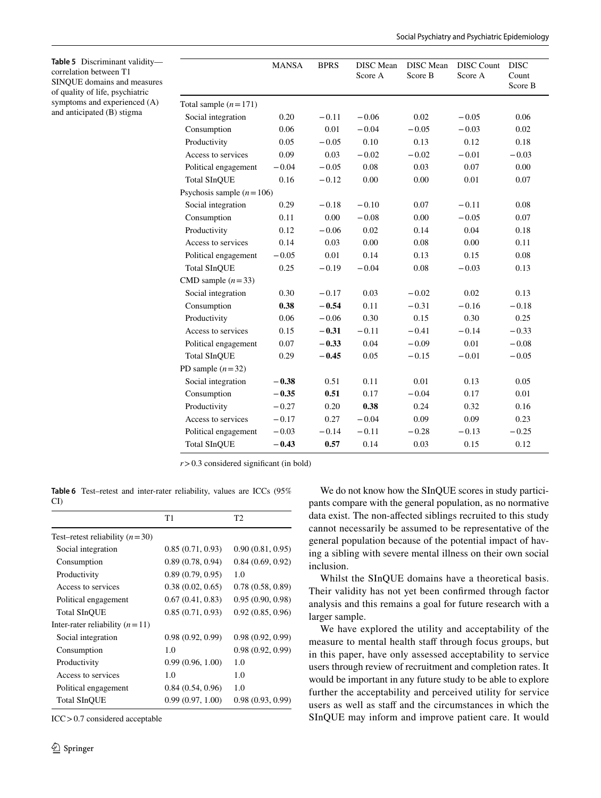<span id="page-9-0"></span>

|                            | <b>MANSA</b> | <b>BPRS</b> | <b>DISC</b> Mean<br>Score A | <b>DISC</b> Mean<br>Score B | <b>DISC</b> Count<br>Score A | <b>DISC</b><br>Count |
|----------------------------|--------------|-------------|-----------------------------|-----------------------------|------------------------------|----------------------|
|                            |              |             |                             |                             |                              | Score B              |
| Total sample $(n=171)$     |              |             |                             |                             |                              |                      |
| Social integration         | 0.20         | $-0.11$     | $-0.06$                     | 0.02                        | $-0.05$                      | 0.06                 |
| Consumption                | 0.06         | 0.01        | $-0.04$                     | $-0.05$                     | $-0.03$                      | 0.02                 |
| Productivity               | 0.05         | $-0.05$     | 0.10                        | 0.13                        | 0.12                         | 0.18                 |
| Access to services         | 0.09         | 0.03        | $-0.02$                     | $-0.02$                     | $-0.01$                      | $-0.03$              |
| Political engagement       | $-0.04$      | $-0.05$     | 0.08                        | 0.03                        | 0.07                         | 0.00                 |
| <b>Total SInQUE</b>        | 0.16         | $-0.12$     | 0.00                        | 0.00                        | 0.01                         | 0.07                 |
| Psychosis sample $(n=106)$ |              |             |                             |                             |                              |                      |
| Social integration         | 0.29         | $-0.18$     | $-0.10$                     | 0.07                        | $-0.11$                      | 0.08                 |
| Consumption                | 0.11         | 0.00        | $-0.08$                     | 0.00                        | $-0.05$                      | 0.07                 |
| Productivity               | 0.12         | $-0.06$     | 0.02                        | 0.14                        | 0.04                         | 0.18                 |
| Access to services         | 0.14         | 0.03        | 0.00                        | 0.08                        | 0.00                         | 0.11                 |
| Political engagement       | $-0.05$      | 0.01        | 0.14                        | 0.13                        | 0.15                         | 0.08                 |
| <b>Total SInOUE</b>        | 0.25         | $-0.19$     | $-0.04$                     | 0.08                        | $-0.03$                      | 0.13                 |
| CMD sample $(n=33)$        |              |             |                             |                             |                              |                      |
| Social integration         | 0.30         | $-0.17$     | 0.03                        | $-0.02$                     | 0.02                         | 0.13                 |
| Consumption                | 0.38         | $-0.54$     | 0.11                        | $-0.31$                     | $-0.16$                      | $-0.18$              |
| Productivity               | 0.06         | $-0.06$     | 0.30                        | 0.15                        | 0.30                         | 0.25                 |
| Access to services         | 0.15         | $-0.31$     | $-0.11$                     | $-0.41$                     | $-0.14$                      | $-0.33$              |
| Political engagement       | 0.07         | $-0.33$     | 0.04                        | $-0.09$                     | 0.01                         | $-0.08$              |
| <b>Total SInOUE</b>        | 0.29         | $-0.45$     | 0.05                        | $-0.15$                     | $-0.01$                      | $-0.05$              |
| PD sample $(n=32)$         |              |             |                             |                             |                              |                      |
| Social integration         | $-0.38$      | 0.51        | 0.11                        | 0.01                        | 0.13                         | 0.05                 |
| Consumption                | $-0.35$      | 0.51        | 0.17                        | $-0.04$                     | 0.17                         | 0.01                 |
| Productivity               | $-0.27$      | 0.20        | 0.38                        | 0.24                        | 0.32                         | 0.16                 |
| Access to services         | $-0.17$      | 0.27        | $-0.04$                     | 0.09                        | 0.09                         | 0.23                 |
| Political engagement       | $-0.03$      | $-0.14$     | $-0.11$                     | $-0.28$                     | $-0.13$                      | $-0.25$              |
| <b>Total SInOUE</b>        | $-0.43$      | 0.57        | 0.14                        | 0.03                        | 0.15                         | 0.12                 |

 $r > 0.3$  considered significant (in bold)

<span id="page-9-1"></span>**Table 6** Test–retest and inter-rater reliability, values are ICCs (95% CI)

|                                  | T1               | T2               |
|----------------------------------|------------------|------------------|
| Test–retest reliability $(n=30)$ |                  |                  |
| Social integration               | 0.85(0.71, 0.93) | 0.90(0.81, 0.95) |
| Consumption                      | 0.89(0.78, 0.94) | 0.84(0.69, 0.92) |
| Productivity                     | 0.89(0.79, 0.95) | 1.0              |
| Access to services               | 0.38(0.02, 0.65) | 0.78(0.58, 0.89) |
| Political engagement             | 0.67(0.41, 0.83) | 0.95(0.90, 0.98) |
| <b>Total SInOUE</b>              | 0.85(0.71, 0.93) | 0.92(0.85, 0.96) |
| Inter-rater reliability $(n=11)$ |                  |                  |
| Social integration               | 0.98(0.92, 0.99) | 0.98(0.92, 0.99) |
| Consumption                      | 1.0              | 0.98(0.92, 0.99) |
| Productivity                     | 0.99(0.96, 1.00) | 1.0              |
| Access to services               | 1.0              | 1.0              |
| Political engagement             | 0.84(0.54, 0.96) | 1.0              |
| <b>Total SInQUE</b>              | 0.99(0.97, 1.00) | 0.98(0.93, 0.99) |

ICC>0.7 considered acceptable

We do not know how the SInQUE scores in study participants compare with the general population, as no normative data exist. The non-afected siblings recruited to this study cannot necessarily be assumed to be representative of the general population because of the potential impact of having a sibling with severe mental illness on their own social inclusion.

Whilst the SInQUE domains have a theoretical basis. Their validity has not yet been confrmed through factor analysis and this remains a goal for future research with a larger sample.

We have explored the utility and acceptability of the measure to mental health staff through focus groups, but in this paper, have only assessed acceptability to service users through review of recruitment and completion rates. It would be important in any future study to be able to explore further the acceptability and perceived utility for service users as well as staff and the circumstances in which the SInQUE may inform and improve patient care. It would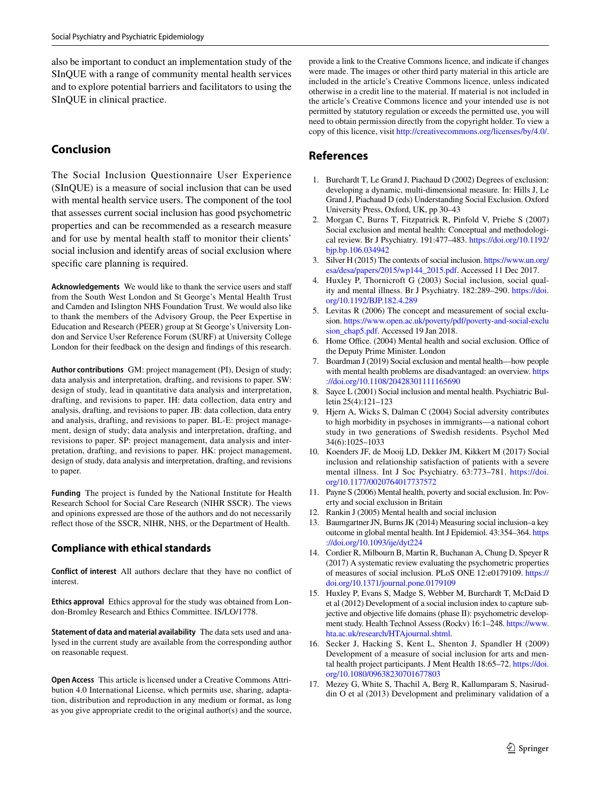also be important to conduct an implementation study of the SInQUE with a range of community mental health services and to explore potential barriers and facilitators to using the SInQUE in clinical practice.

## **Conclusion**

The Social Inclusion Questionnaire User Experience (SInQUE) is a measure of social inclusion that can be used with mental health service users. The component of the tool that assesses current social inclusion has good psychometric properties and can be recommended as a research measure and for use by mental health staff to monitor their clients' social inclusion and identify areas of social exclusion where specifc care planning is required.

**Acknowledgements** We would like to thank the service users and staf from the South West London and St George's Mental Health Trust and Camden and Islington NHS Foundation Trust. We would also like to thank the members of the Advisory Group, the Peer Expertise in Education and Research (PEER) group at St George's University London and Service User Reference Forum (SURF) at University College London for their feedback on the design and fndings of this research.

**Author contributions** GM: project management (PI), Design of study; data analysis and interpretation, drafting, and revisions to paper. SW: design of study, lead in quantitative data analysis and interpretation, drafting, and revisions to paper. IH: data collection, data entry and analysis, drafting, and revisions to paper. JB: data collection, data entry and analysis, drafting, and revisions to paper. BL-E: project management, design of study; data analysis and interpretation, drafting, and revisions to paper. SP: project management, data analysis and interpretation, drafting, and revisions to paper. HK: project management, design of study, data analysis and interpretation, drafting, and revisions to paper.

**Funding** The project is funded by the National Institute for Health Research School for Social Care Research (NIHR SSCR). The views and opinions expressed are those of the authors and do not necessarily refect those of the SSCR, NIHR, NHS, or the Department of Health.

## **Compliance with ethical standards**

**Conflict of interest** All authors declare that they have no confict of interest.

**Ethics approval** Ethics approval for the study was obtained from London-Bromley Research and Ethics Committee. IS/LO/1778.

**Statement of data and material availability** The data sets used and analysed in the current study are available from the corresponding author on reasonable request.

**Open Access** This article is licensed under a Creative Commons Attribution 4.0 International License, which permits use, sharing, adaptation, distribution and reproduction in any medium or format, as long as you give appropriate credit to the original author(s) and the source,

provide a link to the Creative Commons licence, and indicate if changes were made. The images or other third party material in this article are included in the article's Creative Commons licence, unless indicated otherwise in a credit line to the material. If material is not included in the article's Creative Commons licence and your intended use is not permitted by statutory regulation or exceeds the permitted use, you will need to obtain permission directly from the copyright holder. To view a copy of this licence, visit<http://creativecommons.org/licenses/by/4.0/>.

## **References**

- <span id="page-10-0"></span>1. Burchardt T, Le Grand J, Piachaud D (2002) Degrees of exclusion: developing a dynamic, multi-dimensional measure. In: Hills J, Le Grand J, Piachaud D (eds) Understanding Social Exclusion. Oxford University Press, Oxford, UK, pp 30–43
- <span id="page-10-4"></span>2. Morgan C, Burns T, Fitzpatrick R, Pinfold V, Priebe S (2007) Social exclusion and mental health: Conceptual and methodological review. Br J Psychiatry. 191:477–483. [https://doi.org/10.1192/](https://doi.org/10.1192/bjp.bp.106.034942) [bjp.bp.106.034942](https://doi.org/10.1192/bjp.bp.106.034942)
- <span id="page-10-1"></span>3. Silver H (2015) The contexts of social inclusion. [https://www.un.org/](https://www.un.org/esa/desa/papers/2015/wp144_2015.pdf) [esa/desa/papers/2015/wp144\\_2015.pdf.](https://www.un.org/esa/desa/papers/2015/wp144_2015.pdf) Accessed 11 Dec 2017.
- <span id="page-10-2"></span>4. Huxley P, Thornicroft G (2003) Social inclusion, social quality and mental illness. Br J Psychiatry. 182:289–290. [https://doi.](https://doi.org/10.1192/BJP.182.4.289) [org/10.1192/BJP.182.4.289](https://doi.org/10.1192/BJP.182.4.289)
- <span id="page-10-3"></span>5. Levitas R (2006) The concept and measurement of social exclusion. [https://www.open.ac.uk/poverty/pdf/poverty-and-social-exclu](https://www.open.ac.uk/poverty/pdf/poverty-and-social-exclusion_chap5.pdf) [sion\\_chap5.pdf](https://www.open.ac.uk/poverty/pdf/poverty-and-social-exclusion_chap5.pdf). Accessed 19 Jan 2018.
- <span id="page-10-5"></span>6. Home Office. (2004) Mental health and social exclusion. Office of the Deputy Prime Minister. London
- <span id="page-10-7"></span>7. Boardman J (2019) Social exclusion and mental health—how people with mental health problems are disadvantaged: an overview. [https](https://doi.org/10.1108/20428301111165690) [://doi.org/10.1108/20428301111165690](https://doi.org/10.1108/20428301111165690)
- 8. Sayce L (2001) Social inclusion and mental health. Psychiatric Bulletin 25(4):121–123
- 9. Hjern A, Wicks S, Dalman C (2004) Social adversity contributes to high morbidity in psychoses in immigrants—a national cohort study in two generations of Swedish residents. Psychol Med 34(6):1025–1033
- <span id="page-10-6"></span>10. Koenders JF, de Mooij LD, Dekker JM, Kikkert M (2017) Social inclusion and relationship satisfaction of patients with a severe mental illness. Int J Soc Psychiatry. 63:773–781. [https://doi.](https://doi.org/10.1177/0020764017737572) [org/10.1177/0020764017737572](https://doi.org/10.1177/0020764017737572)
- <span id="page-10-8"></span>11. Payne S (2006) Mental health, poverty and social exclusion. In: Poverty and social exclusion in Britain
- <span id="page-10-9"></span>12. Rankin J (2005) Mental health and social inclusion
- <span id="page-10-10"></span>13. Baumgartner JN, Burns JK (2014) Measuring social inclusion–a key outcome in global mental health. Int J Epidemiol. 43:354–364. [https](https://doi.org/10.1093/ije/dyt224) [://doi.org/10.1093/ije/dyt224](https://doi.org/10.1093/ije/dyt224)
- <span id="page-10-11"></span>14. Cordier R, Milbourn B, Martin R, Buchanan A, Chung D, Speyer R (2017) A systematic review evaluating the psychometric properties of measures of social inclusion. PLoS ONE 12:e0179109. [https://](https://doi.org/10.1371/journal.pone.0179109) [doi.org/10.1371/journal.pone.0179109](https://doi.org/10.1371/journal.pone.0179109)
- <span id="page-10-12"></span>15. Huxley P, Evans S, Madge S, Webber M, Burchardt T, McDaid D et al (2012) Development of a social inclusion index to capture subjective and objective life domains (phase II): psychometric development study. Health Technol Assess (Rockv) 16:1–248. [https://www.](https://www.hta.ac.uk/research/HTAjournal.shtml) [hta.ac.uk/research/HTAjournal.shtml](https://www.hta.ac.uk/research/HTAjournal.shtml).
- <span id="page-10-13"></span>16. Secker J, Hacking S, Kent L, Shenton J, Spandler H (2009) Development of a measure of social inclusion for arts and mental health project participants. J Ment Health 18:65–72. [https://doi.](https://doi.org/10.1080/09638230701677803) [org/10.1080/09638230701677803](https://doi.org/10.1080/09638230701677803)
- <span id="page-10-14"></span>17. Mezey G, White S, Thachil A, Berg R, Kallumparam S, Nasiruddin O et al (2013) Development and preliminary validation of a